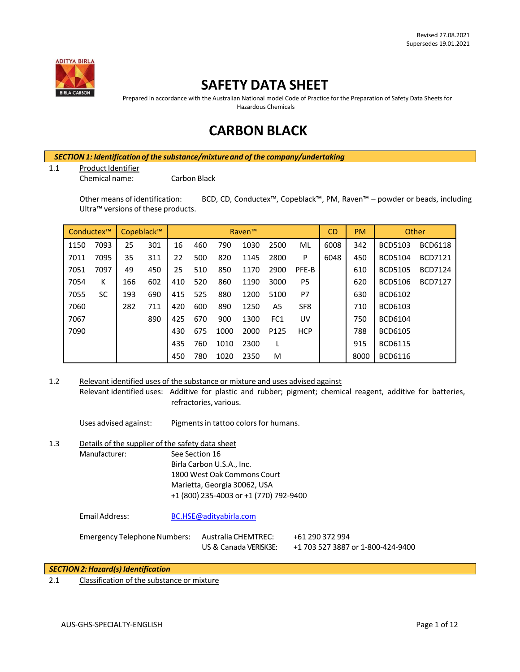

# **SAFETY DATA SHEET**

Prepared in accordance with the Australian National model Code of Practice for the Preparation of Safety Data Sheets for Hazardous Chemicals

# **CARBON BLACK**

*SECTION1: Identificationof the substance/mixtureand of the company/undertaking*

#### 1.1 Product Identifier

Chemical name: Carbon Black

Other means of identification: BCD, CD, Conductex™, Copeblack™, PM, Raven™ – powder or beads, including Ultra™ versions of these products.

| Copeblack™<br>Conductex™ |      | Raven™ |     |     |     | <b>CD</b> | <b>PM</b> |      | Other           |      |      |                |                |
|--------------------------|------|--------|-----|-----|-----|-----------|-----------|------|-----------------|------|------|----------------|----------------|
| 1150                     | 7093 | 25     | 301 | 16  | 460 | 790       | 1030      | 2500 | ML              | 6008 | 342  | <b>BCD5103</b> | <b>BCD6118</b> |
| 7011                     | 7095 | 35     | 311 | 22  | 500 | 820       | 1145      | 2800 | P               | 6048 | 450  | <b>BCD5104</b> | <b>BCD7121</b> |
| 7051                     | 7097 | 49     | 450 | 25  | 510 | 850       | 1170      | 2900 | PFE-B           |      | 610  | <b>BCD5105</b> | <b>BCD7124</b> |
| 7054                     | К    | 166    | 602 | 410 | 520 | 860       | 1190      | 3000 | P5              |      | 620  | <b>BCD5106</b> | <b>BCD7127</b> |
| 7055                     | SC   | 193    | 690 | 415 | 525 | 880       | 1200      | 5100 | P7              |      | 630  | BCD6102        |                |
| 7060                     |      | 282    | 711 | 420 | 600 | 890       | 1250      | A5   | SF <sub>8</sub> |      | 710  | BCD6103        |                |
| 7067                     |      |        | 890 | 425 | 670 | 900       | 1300      | FC1  | UV              |      | 750  | <b>BCD6104</b> |                |
| 7090                     |      |        |     | 430 | 675 | 1000      | 2000      | P125 | <b>HCP</b>      |      | 788  | <b>BCD6105</b> |                |
|                          |      |        |     | 435 | 760 | 1010      | 2300      |      |                 |      | 915  | <b>BCD6115</b> |                |
|                          |      |        |     | 450 | 780 | 1020      | 2350      | м    |                 |      | 8000 | <b>BCD6116</b> |                |

1.2 Relevant identified uses of the substance or mixture and uses advised against Relevant identified uses: Additive for plastic and rubber; pigment; chemical reagent, additive for batteries, refractories, various.

Uses advised against: Pigments in tattoo colors for humans.

1.3 Details of the supplier of the safety data sheet Manufacturer: See Section 16 Birla Carbon U.S.A., Inc. 1800 West Oak Commons Court Marietta, Georgia 30062, USA +1 (800) 235-4003 or +1 (770) 792-9400

Email Address: [BC.HSE@adityabirla.com](mailto:BC.HSE@adityabirla.com)

| Emergency Telephone Numbers: Australia CHEMTREC: |                       | +61 290 372 994                   |
|--------------------------------------------------|-----------------------|-----------------------------------|
|                                                  | US & Canada VERISK3E: | +1 703 527 3887 or 1-800-424-9400 |

## *SECTION2:Hazard(s) Identification*

2.1 Classification of the substance or mixture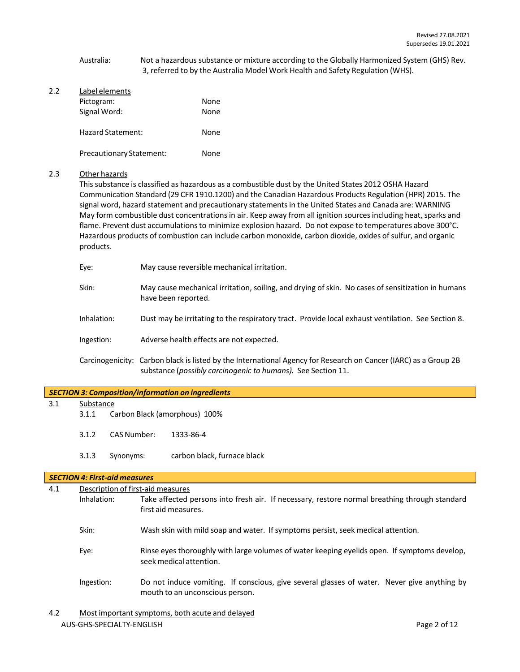## Australia: Not a hazardous substance or mixture according to the Globally Harmonized System (GHS) Rev. 3, referred to by the Australia Model Work Health and Safety Regulation (WHS).

2.2 Label elements Pictogram: None Signal Word: None Hazard Statement: None Precautionary Statement: None

## 2.3 Other hazards

This substance is classified as hazardous as a combustible dust by the United States 2012 OSHA Hazard Communication Standard (29 CFR 1910.1200) and the Canadian Hazardous Products Regulation (HPR) 2015. The signal word, hazard statement and precautionary statementsin the United States and Canada are: WARNING May form combustible dust concentrations in air. Keep away from all ignition sources including heat, sparks and flame. Prevent dust accumulations to minimize explosion hazard. Do not expose to temperatures above 300°C. Hazardous products of combustion can include carbon monoxide, carbon dioxide, oxides of sulfur, and organic products.

- Eye: May cause reversible mechanical irritation.
- Skin: May cause mechanical irritation, soiling, and drying of skin. No cases of sensitization in humans have been reported.
- Inhalation: Dust may be irritating to the respiratory tract. Provide local exhaust ventilation. See Section 8.
- Ingestion: Adverse health effects are not expected.
- Carcinogenicity: Carbon black is listed by the International Agency for Research on Cancer (IARC) as a Group 2B substance (*possibly carcinogenic to humans).* See Section 11.

## *SECTION 3: Composition/information on ingredients*

## 3.1 Substance

- 3.1.1 Carbon Black (amorphous) 100%
- 3.1.2 CAS Number: 1333-86-4
- 3.1.3 Synonyms: carbon black, furnace black

## *SECTION 4: First-aid measures*

| 4.1 |             | Description of first-aid measures                                                                                              |
|-----|-------------|--------------------------------------------------------------------------------------------------------------------------------|
|     | Inhalation: | Take affected persons into fresh air. If necessary, restore normal breathing through standard<br>first aid measures.           |
|     | Skin:       | Wash skin with mild soap and water. If symptoms persist, seek medical attention.                                               |
|     | Eye:        | Rinse eyes thoroughly with large volumes of water keeping eyelids open. If symptoms develop,<br>seek medical attention.        |
|     | Ingestion:  | Do not induce vomiting. If conscious, give several glasses of water. Never give anything by<br>mouth to an unconscious person. |

AUS-GHS-SPECIALTY-ENGLISH **Page 2 of 12** 4.2 Most important symptoms, both acute and delayed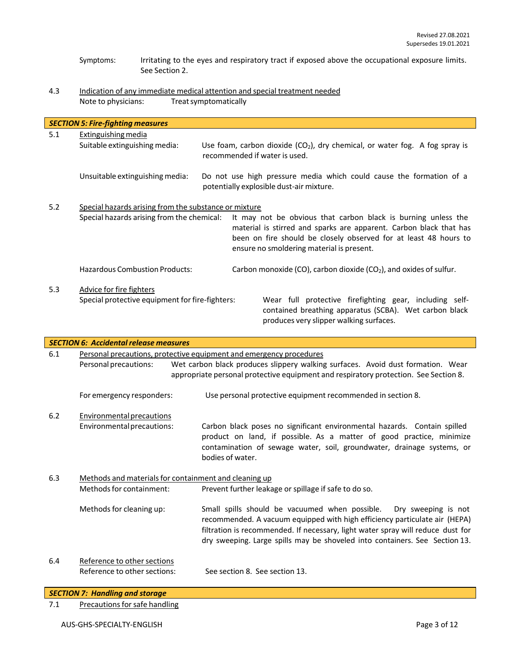- Symptoms: Irritating to the eyes and respiratory tract if exposed above the occupational exposure limits. See Section 2.
- 4.3 Indication of any immediate medical attention and special treatment needed Note to physicians: Treatsymptomatically

|     | <b>SECTION 5: Fire-fighting measures</b>                                                            |  |                                                                                                                                                                                                                                                      |                                                                                                                                                              |  |  |
|-----|-----------------------------------------------------------------------------------------------------|--|------------------------------------------------------------------------------------------------------------------------------------------------------------------------------------------------------------------------------------------------------|--------------------------------------------------------------------------------------------------------------------------------------------------------------|--|--|
| 5.1 | Extinguishing media<br>Suitable extinguishing media:                                                |  | recommended if water is used.                                                                                                                                                                                                                        | Use foam, carbon dioxide $(CO_2)$ , dry chemical, or water fog. A fog spray is                                                                               |  |  |
|     | Unsuitable extinguishing media:                                                                     |  | potentially explosible dust-air mixture.                                                                                                                                                                                                             | Do not use high pressure media which could cause the formation of a                                                                                          |  |  |
| 5.2 | Special hazards arising from the substance or mixture<br>Special hazards arising from the chemical: |  | It may not be obvious that carbon black is burning unless the<br>material is stirred and sparks are apparent. Carbon black that has<br>been on fire should be closely observed for at least 48 hours to<br>ensure no smoldering material is present. |                                                                                                                                                              |  |  |
|     | <b>Hazardous Combustion Products:</b>                                                               |  |                                                                                                                                                                                                                                                      | Carbon monoxide (CO), carbon dioxide (CO <sub>2</sub> ), and oxides of sulfur.                                                                               |  |  |
| 5.3 | Advice for fire fighters<br>Special protective equipment for fire-fighters:                         |  |                                                                                                                                                                                                                                                      | Wear full protective firefighting gear, including self-<br>contained breathing apparatus (SCBA). Wet carbon black<br>produces very slipper walking surfaces. |  |  |

|       | <b>SECTION 6: Accidental release measures</b>               |                                                                                                                                                                                                                                                                                                                       |
|-------|-------------------------------------------------------------|-----------------------------------------------------------------------------------------------------------------------------------------------------------------------------------------------------------------------------------------------------------------------------------------------------------------------|
| 6.1   |                                                             | Personal precautions, protective equipment and emergency procedures                                                                                                                                                                                                                                                   |
|       | Personal precautions:                                       | Wet carbon black produces slippery walking surfaces. Avoid dust formation. Wear                                                                                                                                                                                                                                       |
|       |                                                             | appropriate personal protective equipment and respiratory protection. See Section 8.                                                                                                                                                                                                                                  |
|       | For emergency responders:                                   | Use personal protective equipment recommended in section 8.                                                                                                                                                                                                                                                           |
| $6.2$ | <b>Environmental precautions</b>                            |                                                                                                                                                                                                                                                                                                                       |
|       | Environmental precautions:                                  | Carbon black poses no significant environmental hazards. Contain spilled<br>product on land, if possible. As a matter of good practice, minimize<br>contamination of sewage water, soil, groundwater, drainage systems, or<br>bodies of water.                                                                        |
| 6.3   |                                                             | Methods and materials for containment and cleaning up                                                                                                                                                                                                                                                                 |
|       | Methods for containment:                                    | Prevent further leakage or spillage if safe to do so.                                                                                                                                                                                                                                                                 |
|       | Methods for cleaning up:                                    | Small spills should be vacuumed when possible.<br>Dry sweeping is not<br>recommended. A vacuum equipped with high efficiency particulate air (HEPA)<br>filtration is recommended. If necessary, light water spray will reduce dust for<br>dry sweeping. Large spills may be shoveled into containers. See Section 13. |
| 6.4   | Reference to other sections<br>Reference to other sections: | See section 8. See section 13.                                                                                                                                                                                                                                                                                        |

*SECTION 7: Handling and storage*

7.1 Precautions for safe handling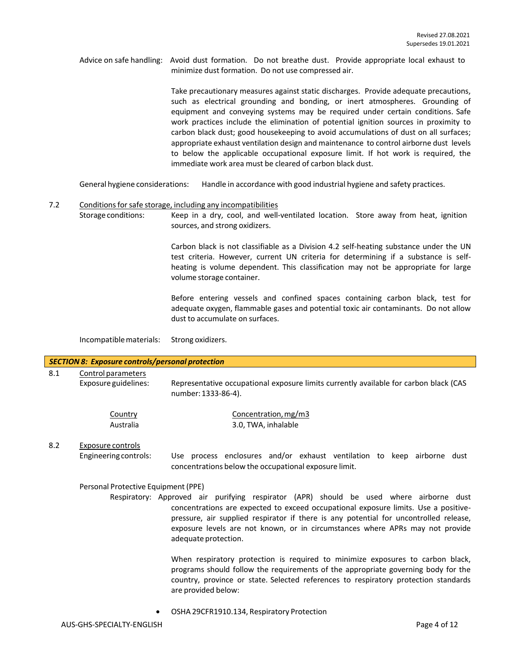Advice on safe handling: Avoid dust formation. Do not breathe dust. Provide appropriate local exhaust to minimize dust formation. Do not use compressed air.

> Take precautionary measures against static discharges. Provide adequate precautions, such as electrical grounding and bonding, or inert atmospheres. Grounding of equipment and conveying systems may be required under certain conditions. Safe work practices include the elimination of potential ignition sources in proximity to carbon black dust; good housekeeping to avoid accumulations of dust on all surfaces; appropriate exhaust ventilation design and maintenance to control airborne dust levels to below the applicable occupational exposure limit. If hot work is required, the immediate work area must be cleared of carbon black dust.

General hygiene considerations: Handle in accordance with good industrial hygiene and safety practices.

#### 7.2 Conditions for safe storage, including any incompatibilities

Storage conditions: Keep in a dry, cool, and well-ventilated location. Store away from heat, ignition sources, and strong oxidizers.

> Carbon black is not classifiable as a Division 4.2 self-heating substance under the UN test criteria. However, current UN criteria for determining if a substance is selfheating is volume dependent. This classification may not be appropriate for large volume storage container.

> Before entering vessels and confined spaces containing carbon black, test for adequate oxygen, flammable gases and potential toxic air contaminants. Do not allow dust to accumulate on surfaces.

#### Incompatiblematerials: Strong oxidizers.

## *SECTION 8: Exposure controls/personal protection*

## 8.1 Control parameters

Exposure guidelines: Representative occupational exposure limits currently available for carbon black (CAS number: 1333-86-4).

| Country   | Concentration, mg/m3 |
|-----------|----------------------|
| Australia | 3.0, TWA, inhalable  |

## 8.2 Exposure controls

Engineering controls: Use process enclosures and/or exhaust ventilation to keep airborne dust concentrations below the occupational exposure limit.

#### Personal Protective Equipment (PPE)

Respiratory: Approved air purifying respirator (APR) should be used where airborne dust concentrations are expected to exceed occupational exposure limits. Use a positivepressure, air supplied respirator if there is any potential for uncontrolled release, exposure levels are not known, or in circumstances where APRs may not provide adequate protection.

> When respiratory protection is required to minimize exposures to carbon black, programs should follow the requirements of the appropriate governing body for the country, province or state. Selected references to respiratory protection standards are provided below:

• OSHA 29CFR1910.134, Respiratory Protection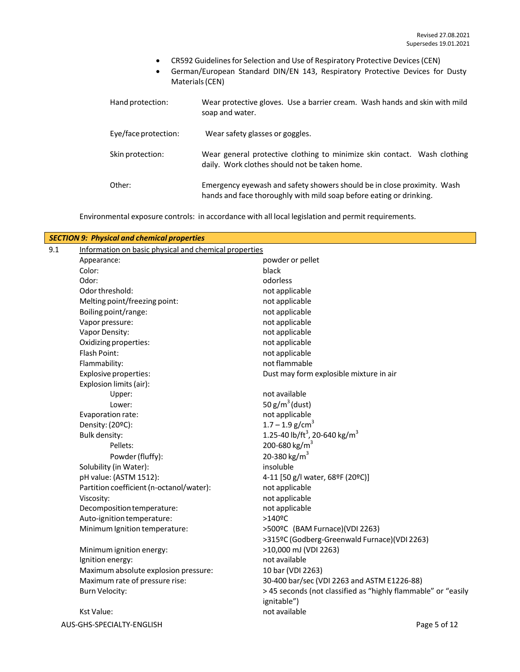- CR592 Guidelines for Selection and Use of Respiratory Protective Devices (CEN)
- German/European Standard DIN/EN 143, Respiratory Protective Devices for Dusty Materials(CEN)

| Hand protection:     | Wear protective gloves. Use a barrier cream. Wash hands and skin with mild<br>soap and water.                                                  |
|----------------------|------------------------------------------------------------------------------------------------------------------------------------------------|
| Eye/face protection: | Wear safety glasses or goggles.                                                                                                                |
| Skin protection:     | Wear general protective clothing to minimize skin contact. Wash clothing<br>daily. Work clothes should not be taken home.                      |
| Other:               | Emergency eyewash and safety showers should be in close proximity. Wash<br>hands and face thoroughly with mild soap before eating or drinking. |

Environmental exposure controls: in accordance with all local legislation and permit requirements.

|     | <b>SECTION 9: Physical and chemical properties</b>    |                                                               |
|-----|-------------------------------------------------------|---------------------------------------------------------------|
| 9.1 | Information on basic physical and chemical properties |                                                               |
|     | Appearance:                                           | powder or pellet                                              |
|     | Color:                                                | black                                                         |
|     | Odor:                                                 | odorless                                                      |
|     | Odor threshold:                                       | not applicable                                                |
|     | Melting point/freezing point:                         | not applicable                                                |
|     | Boiling point/range:                                  | not applicable                                                |
|     | Vapor pressure:                                       | not applicable                                                |
|     | Vapor Density:                                        | not applicable                                                |
|     | Oxidizing properties:                                 | not applicable                                                |
|     | Flash Point:                                          | not applicable                                                |
|     | Flammability:                                         | not flammable                                                 |
|     | Explosive properties:                                 | Dust may form explosible mixture in air                       |
|     | Explosion limits (air):                               |                                                               |
|     | Upper:                                                | not available                                                 |
|     | Lower:                                                | 50 $g/m^3$ (dust)                                             |
|     | Evaporation rate:                                     | not applicable                                                |
|     | Density: (20ºC):                                      | $1.7 - 1.9$ g/cm <sup>3</sup>                                 |
|     | Bulk density:                                         | 1.25-40 lb/ft <sup>3</sup> , 20-640 kg/m <sup>3</sup>         |
|     | Pellets:                                              | 200-680 kg/m <sup>3</sup>                                     |
|     | Powder (fluffy):                                      | 20-380 kg/m <sup>3</sup>                                      |
|     | Solubility (in Water):                                | insoluble                                                     |
|     | pH value: (ASTM 1512):                                | 4-11 [50 g/l water, 68ºF (20ºC)]                              |
|     | Partition coefficient (n-octanol/water):              | not applicable                                                |
|     | Viscosity:                                            | not applicable                                                |
|     | Decomposition temperature:                            | not applicable                                                |
|     | Auto-ignition temperature:                            | $>140$ <sup>o</sup> C                                         |
|     | Minimum Ignition temperature:                         | >500ºC (BAM Furnace)(VDI 2263)                                |
|     |                                                       | >315ºC (Godberg-Greenwald Furnace)(VDI 2263)                  |
|     | Minimum ignition energy:                              | >10,000 mJ (VDI 2263)                                         |
|     | Ignition energy:                                      | not available                                                 |
|     | Maximum absolute explosion pressure:                  | 10 bar (VDI 2263)                                             |
|     | Maximum rate of pressure rise:                        | 30-400 bar/sec (VDI 2263 and ASTM E1226-88)                   |
|     | <b>Burn Velocity:</b>                                 | > 45 seconds (not classified as "highly flammable" or "easily |
|     |                                                       | ignitable")                                                   |
|     | Kst Value:                                            | not available                                                 |
|     | AUS-GHS-SPECIALTY-ENGLISH                             | Page 5 of 12                                                  |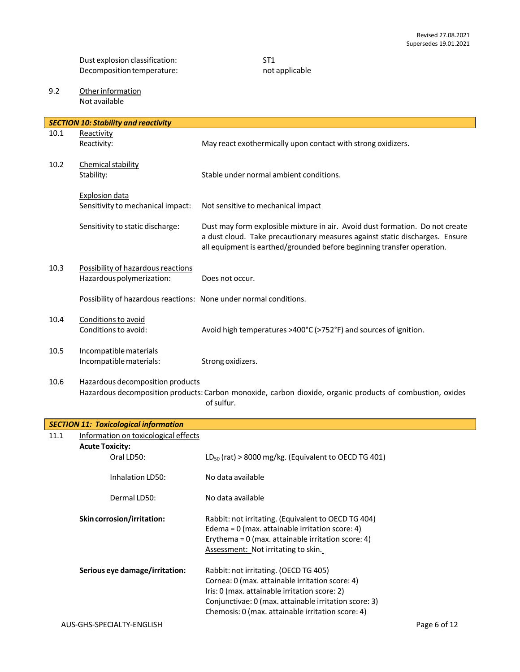ST1 not applicable

## 9.2 Otherinformation Not available

|      | <b>SECTION 10: Stability and reactivity</b>                       |                                                                                                                                                                                                                                       |
|------|-------------------------------------------------------------------|---------------------------------------------------------------------------------------------------------------------------------------------------------------------------------------------------------------------------------------|
| 10.1 | Reactivity<br>Reactivity:                                         | May react exothermically upon contact with strong oxidizers.                                                                                                                                                                          |
| 10.2 | Chemical stability<br>Stability:                                  | Stable under normal ambient conditions.                                                                                                                                                                                               |
|      | <b>Explosion data</b><br>Sensitivity to mechanical impact:        | Not sensitive to mechanical impact                                                                                                                                                                                                    |
|      | Sensitivity to static discharge:                                  | Dust may form explosible mixture in air. Avoid dust formation. Do not create<br>a dust cloud. Take precautionary measures against static discharges. Ensure<br>all equipment is earthed/grounded before beginning transfer operation. |
| 10.3 | Possibility of hazardous reactions<br>Hazardous polymerization:   | Does not occur.                                                                                                                                                                                                                       |
|      | Possibility of hazardous reactions: None under normal conditions. |                                                                                                                                                                                                                                       |
| 10.4 | Conditions to avoid<br>Conditions to avoid:                       | Avoid high temperatures >400°C (>752°F) and sources of ignition.                                                                                                                                                                      |
| 10.5 | Incompatible materials<br>Incompatible materials:                 | Strong oxidizers.                                                                                                                                                                                                                     |

10.6 Hazardous decomposition products Hazardous decomposition products: Carbon monoxide, carbon dioxide, organic products of combustion, oxides of sulfur.

|      | <b>SECTION 11: Toxicological information</b> |                                                                                                                                                                                                                                                         |              |
|------|----------------------------------------------|---------------------------------------------------------------------------------------------------------------------------------------------------------------------------------------------------------------------------------------------------------|--------------|
| 11.1 | Information on toxicological effects         |                                                                                                                                                                                                                                                         |              |
|      | <b>Acute Toxicity:</b>                       |                                                                                                                                                                                                                                                         |              |
|      | Oral LD50:                                   | $LD_{50}$ (rat) > 8000 mg/kg. (Equivalent to OECD TG 401)                                                                                                                                                                                               |              |
|      | Inhalation LD50:                             | No data available                                                                                                                                                                                                                                       |              |
|      | Dermal LD50:                                 | No data available                                                                                                                                                                                                                                       |              |
|      | Skin corrosion/irritation:                   | Rabbit: not irritating. (Equivalent to OECD TG 404)<br>Edema = $0$ (max. attainable irritation score: 4)<br>Erythema = $0$ (max. attainable irritation score: 4)<br>Assessment: Not irritating to skin.                                                 |              |
|      | Serious eye damage/irritation:               | Rabbit: not irritating. (OECD TG 405)<br>Cornea: 0 (max. attainable irritation score: 4)<br>Iris: 0 (max. attainable irritation score: 2)<br>Conjunctivae: 0 (max. attainable irritation score: 3)<br>Chemosis: 0 (max. attainable irritation score: 4) |              |
|      | AUS-GHS-SPECIALTY-ENGLISH                    |                                                                                                                                                                                                                                                         | Page 6 of 12 |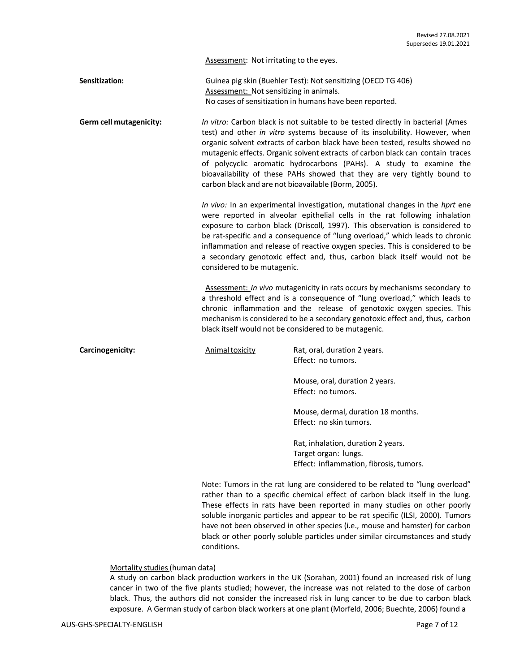Assessment: Not irritating to the eyes.

| Sensitization: | Guinea pig skin (Buehler Test): Not sensitizing (OECD TG 406) |
|----------------|---------------------------------------------------------------|
|                | Assessment: Not sensitizing in animals.                       |
|                | No cases of sensitization in humans have been reported.       |

**Germ cell mutagenicity:** *In vitro:* Carbon black is not suitable to be tested directly in bacterial (Ames test) and other *in vitro* systems because of its insolubility. However, when organic solvent extracts of carbon black have been tested, results showed no mutagenic effects. Organic solvent extracts of carbon black can contain traces of polycyclic aromatic hydrocarbons (PAHs). A study to examine the bioavailability of these PAHs showed that they are very tightly bound to carbon black and are not bioavailable (Borm, 2005).

> *In vivo:* In an experimental investigation, mutational changes in the *hprt* ene were reported in alveolar epithelial cells in the rat following inhalation exposure to carbon black (Driscoll*,* 1997). This observation is considered to be rat-specific and a consequence of "lung overload," which leads to chronic inflammation and release of reactive oxygen species. This is considered to be a secondary genotoxic effect and, thus, carbon black itself would not be considered to be mutagenic.

> Assessment: *In vivo* mutagenicity in rats occurs by mechanisms secondary to a threshold effect and is a consequence of "lung overload," which leads to chronic inflammation and the release of genotoxic oxygen species. This mechanism is considered to be a secondary genotoxic effect and, thus, carbon black itself would not be considered to be mutagenic.

**Carcinogenicity:** Animal toxicity Rat, oral, duration 2 years. Effect: no tumors.

> Mouse, oral, duration 2 years. Effect: no tumors.

Mouse, dermal, duration 18 months. Effect: no skin tumors.

Rat, inhalation, duration 2 years. Target organ: lungs. Effect: inflammation, fibrosis, tumors.

Note: Tumors in the rat lung are considered to be related to "lung overload" rather than to a specific chemical effect of carbon black itself in the lung. These effects in rats have been reported in many studies on other poorly soluble inorganic particles and appear to be rat specific (ILSI, 2000). Tumors have not been observed in other species (i.e., mouse and hamster) for carbon black or other poorly soluble particles under similar circumstances and study conditions.

#### Mortality studies(human data)

A study on carbon black production workers in the UK (Sorahan, 2001) found an increased risk of lung cancer in two of the five plants studied; however, the increase was not related to the dose of carbon black. Thus, the authors did not consider the increased risk in lung cancer to be due to carbon black exposure. A German study of carbon black workers at one plant (Morfeld, 2006; Buechte, 2006) found a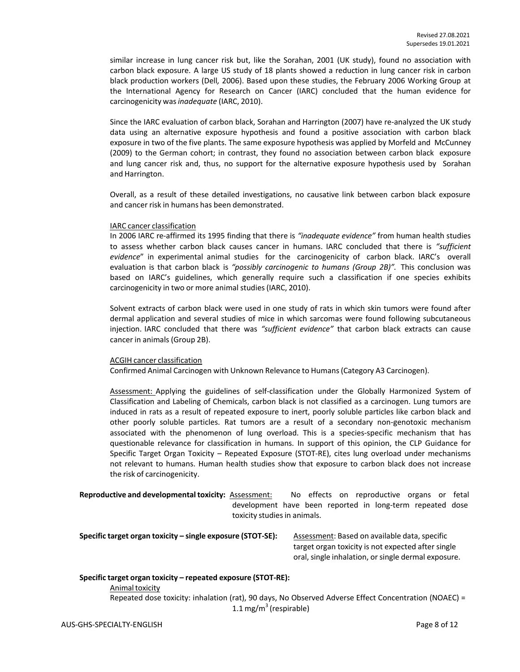similar increase in lung cancer risk but, like the Sorahan, 2001 (UK study), found no association with carbon black exposure. A large US study of 18 plants showed a reduction in lung cancer risk in carbon black production workers (Dell*,* 2006). Based upon these studies, the February 2006 Working Group at the International Agency for Research on Cancer (IARC) concluded that the human evidence for carcinogenicity was*inadequate* (IARC, 2010).

Since the IARC evaluation of carbon black, Sorahan and Harrington (2007) have re-analyzed the UK study data using an alternative exposure hypothesis and found a positive association with carbon black exposure in two of the five plants. The same exposure hypothesis was applied by Morfeld and McCunney (2009) to the German cohort; in contrast, they found no association between carbon black exposure and lung cancer risk and, thus, no support for the alternative exposure hypothesis used by Sorahan and Harrington.

Overall, as a result of these detailed investigations, no causative link between carbon black exposure and cancer risk in humans has been demonstrated.

#### IARC cancer classification

In 2006 IARC re-affirmed its 1995 finding that there is *"inadequate evidence"* from human health studies to assess whether carbon black causes cancer in humans. IARC concluded that there is *"sufficient evidence*" in experimental animal studies for the carcinogenicity of carbon black. IARC's overall evaluation is that carbon black is *"possibly carcinogenic to humans (Group 2B)".* This conclusion was based on IARC's guidelines, which generally require such a classification if one species exhibits carcinogenicity in two or more animal studies (IARC, 2010).

Solvent extracts of carbon black were used in one study of rats in which skin tumors were found after dermal application and several studies of mice in which sarcomas were found following subcutaneous injection. IARC concluded that there was *"sufficient evidence"* that carbon black extracts can cause cancer in animals(Group 2B).

#### ACGIH cancer classification

Confirmed Animal Carcinogen with Unknown Relevance to Humans(Category A3 Carcinogen).

Assessment: Applying the guidelines of self-classification under the Globally Harmonized System of Classification and Labeling of Chemicals, carbon black is not classified as a carcinogen. Lung tumors are induced in rats as a result of repeated exposure to inert, poorly soluble particles like carbon black and other poorly soluble particles. Rat tumors are a result of a secondary non-genotoxic mechanism associated with the phenomenon of lung overload. This is a species-specific mechanism that has questionable relevance for classification in humans. In support of this opinion, the CLP Guidance for Specific Target Organ Toxicity – Repeated Exposure (STOT-RE), cites lung overload under mechanisms not relevant to humans. Human health studies show that exposure to carbon black does not increase the risk of carcinogenicity.

**Reproductive and developmental toxicity:** Assessment: No effects on reproductive organs or fetal development have been reported in long-term repeated dose toxicity studies in animals.

| Specific target organ toxicity – single exposure (STOT-SE): | As: |
|-------------------------------------------------------------|-----|
|                                                             | tar |
|                                                             |     |

**sessment: Based on available data, specific** get organ toxicity is not expected after single oral, single inhalation, or single dermal exposure.

## **Specific target organ toxicity – repeated exposure (STOT-RE):**

**Animal toxicity** 

Repeated dose toxicity: inhalation (rat), 90 days, No Observed Adverse Effect Concentration (NOAEC) = 1.1 mg/m $3$  (respirable)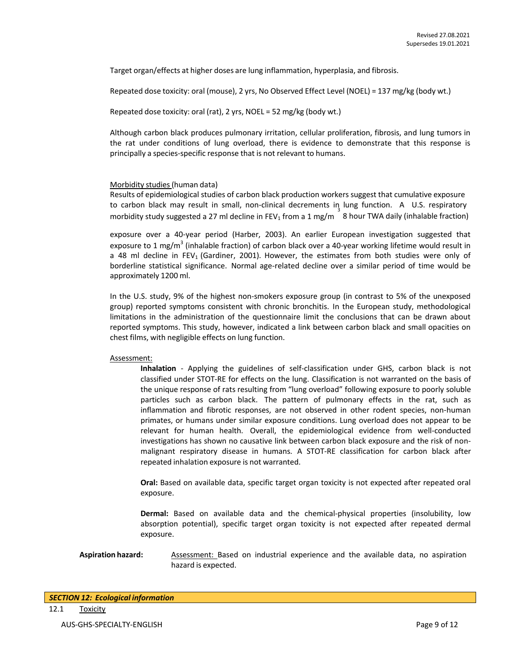Target organ/effects at higher doses are lung inflammation, hyperplasia, and fibrosis.

Repeated dose toxicity: oral (mouse), 2 yrs, No Observed Effect Level (NOEL) = 137 mg/kg (body wt.)

Repeated dose toxicity: oral (rat), 2 yrs, NOEL = 52 mg/kg (body wt.)

Although carbon black produces pulmonary irritation, cellular proliferation, fibrosis, and lung tumors in the rat under conditions of lung overload, there is evidence to demonstrate that this response is principally a species-specific response that is not relevant to humans.

## Morbidity studies(human data)

Results of epidemiological studies of carbon black production workers suggest that cumulative exposure to carbon black may result in small, non-clinical decrements in lung function. A U.S. respiratory morbidity study suggested a 27 ml decline in  $FEV_1$  from a 1 mg/m 8 hour TWA daily (inhalable fraction)

exposure over a 40-year period (Harber, 2003). An earlier European investigation suggested that exposure to 1 mg/m<sup>3</sup> (inhalable fraction) of carbon black over a 40-year working lifetime would result in a 48 ml decline in FEV<sub>1</sub> (Gardiner, 2001). However, the estimates from both studies were only of borderline statistical significance. Normal age-related decline over a similar period of time would be approximately 1200 ml.

In the U.S. study, 9% of the highest non-smokers exposure group (in contrast to 5% of the unexposed group) reported symptoms consistent with chronic bronchitis. In the European study, methodological limitations in the administration of the questionnaire limit the conclusions that can be drawn about reported symptoms. This study, however, indicated a link between carbon black and small opacities on chest films, with negligible effects on lung function.

## Assessment:

**Inhalation** - Applying the guidelines of self-classification under GHS, carbon black is not classified under STOT-RE for effects on the lung. Classification is not warranted on the basis of the unique response of rats resulting from "lung overload" following exposure to poorly soluble particles such as carbon black. The pattern of pulmonary effects in the rat, such as inflammation and fibrotic responses, are not observed in other rodent species, non-human primates, or humans under similar exposure conditions. Lung overload does not appear to be relevant for human health. Overall, the epidemiological evidence from well-conducted investigations has shown no causative link between carbon black exposure and the risk of nonmalignant respiratory disease in humans. A STOT-RE classification for carbon black after repeated inhalation exposure is not warranted.

**Oral:** Based on available data, specific target organ toxicity is not expected after repeated oral exposure.

**Dermal:** Based on available data and the chemical-physical properties (insolubility, low absorption potential), specific target organ toxicity is not expected after repeated dermal exposure.

**Aspiration hazard:** Assessment: Based on industrial experience and the available data, no aspiration hazard is expected.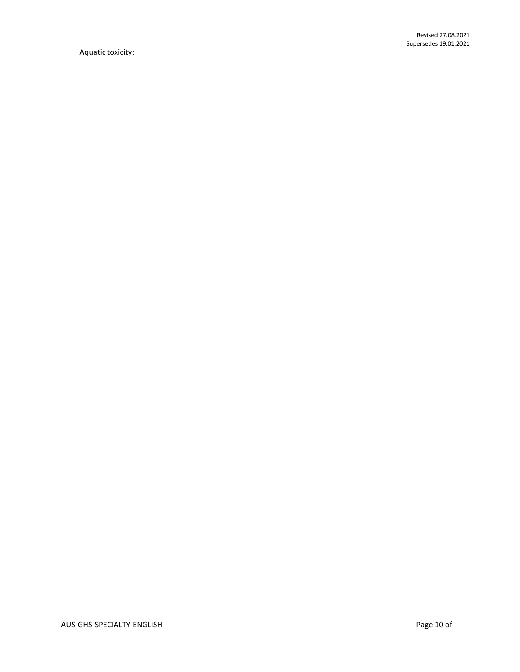Revised 27.08.2021 Supersedes 19.01.2021

Aquatic toxicity: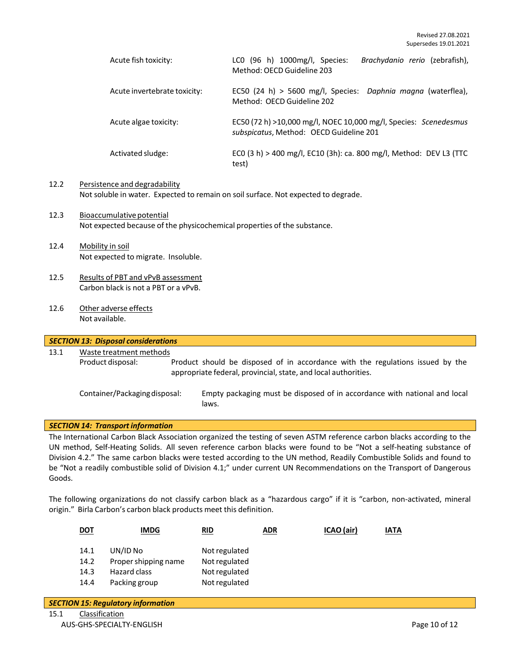| Acute fish toxicity:         | $LCD (96 h) 1000mg/l$ , Species:<br><i>Brachydanio rerio</i> (zebrafish),<br>Method: OECD Guideline 203     |
|------------------------------|-------------------------------------------------------------------------------------------------------------|
| Acute invertebrate toxicity: | EC50 (24 h) > 5600 mg/l, Species: Daphnia magna (waterflea),<br>Method: OECD Guideline 202                  |
| Acute algae toxicity:        | EC50 (72 h) >10,000 mg/l, NOEC 10,000 mg/l, Species: Scenedesmus<br>subspicatus, Method: OECD Guideline 201 |
| Activated sludge:            | ECO (3 h) > 400 mg/l, EC10 (3h): ca. 800 mg/l, Method: DEV L3 (TTC<br>test)                                 |

## 12.2 Persistence and degradability Not soluble in water. Expected to remain on soil surface. Not expected to degrade.

- 12.3 Bioaccumulative potential Not expected because of the physicochemical properties of the substance.
- 12.4 Mobility in soil Not expected to migrate. Insoluble.
- 12.5 Results of PBT and vPvB assessment Carbon black is not a PBT or a vPvB.
- 12.6 Other adverse effects Not available.

## 13.1 Waste treatment methods Product disposal: Product should be disposed of in accordance with the regulations issued by the appropriate federal, provincial, state, and local authorities. Container/Packagingdisposal: Empty packaging must be disposed of in accordance with national and local laws. *SECTION 13: Disposal considerations*

## *SECTION 14: Transport information*

The International Carbon Black Association organized the testing of seven ASTM reference carbon blacks according to the UN method, Self-Heating Solids. All seven reference carbon blacks were found to be "Not a self-heating substance of Division 4.2." The same carbon blacks were tested according to the UN method, Readily Combustible Solids and found to be "Not a readily combustible solid of Division 4.1;" under current UN Recommendations on the Transport of Dangerous Goods.

The following organizations do not classify carbon black as a "hazardous cargo" if it is "carbon, non-activated, mineral origin." Birla Carbon's carbon black products meet this definition.

| <u>DOT</u> | <b>IMDG</b>          | RID           | <b>ADR</b> | ICAO (air) | <b>IATA</b> |
|------------|----------------------|---------------|------------|------------|-------------|
| 14.1       | UN/ID No             | Not regulated |            |            |             |
| 14.2       | Proper shipping name | Not regulated |            |            |             |
| 14.3       | Hazard class         | Not regulated |            |            |             |
| 14.4       | Packing group        | Not regulated |            |            |             |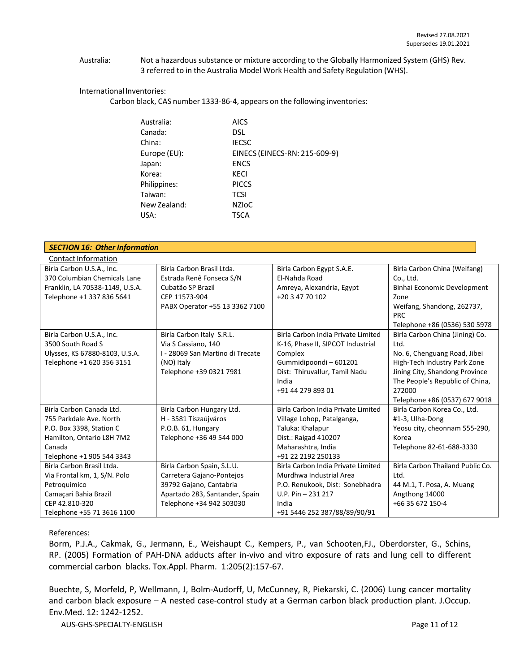Australia: Not a hazardous substance or mixture according to the Globally Harmonized System (GHS) Rev. 3 referred to in the Australia Model Work Health and Safety Regulation (WHS).

## International Inventories:

Carbon black, CAS number 1333-86-4, appears on the following inventories:

| AICS                          |
|-------------------------------|
| DSL.                          |
| <b>IECSC</b>                  |
| EINECS (EINECS-RN: 215-609-9) |
| ENCS                          |
| <b>KECI</b>                   |
| <b>PICCS</b>                  |
| <b>TCSI</b>                   |
| <b>NZIOC</b>                  |
| TSCA                          |
|                               |

| <b>SECTION 16: Other Information</b> |                                  |                                    |                                  |  |  |  |  |
|--------------------------------------|----------------------------------|------------------------------------|----------------------------------|--|--|--|--|
| Contact Information                  |                                  |                                    |                                  |  |  |  |  |
| Birla Carbon U.S.A., Inc.            | Birla Carbon Brasil Ltda.        | Birla Carbon Egypt S.A.E.          | Birla Carbon China (Weifang)     |  |  |  |  |
| 370 Columbian Chemicals Lane         | Estrada Renê Fonseca S/N         | El-Nahda Road                      | Co., Ltd.                        |  |  |  |  |
| Franklin, LA 70538-1149, U.S.A.      | Cubatão SP Brazil                | Amreya, Alexandria, Egypt          | Binhai Economic Development      |  |  |  |  |
| Telephone +1 337 836 5641            | CEP 11573-904                    | +20 3 47 70 102                    | Zone                             |  |  |  |  |
|                                      | PABX Operator +55 13 3362 7100   |                                    | Weifang, Shandong, 262737,       |  |  |  |  |
|                                      |                                  |                                    | <b>PRC</b>                       |  |  |  |  |
|                                      |                                  |                                    | Telephone +86 (0536) 530 5978    |  |  |  |  |
| Birla Carbon U.S.A., Inc.            | Birla Carbon Italy S.R.L.        | Birla Carbon India Private Limited | Birla Carbon China (Jining) Co.  |  |  |  |  |
| 3500 South Road S                    | Via S Cassiano, 140              | K-16, Phase II, SIPCOT Industrial  | Ltd.                             |  |  |  |  |
| Ulysses, KS 67880-8103, U.S.A.       | I - 28069 San Martino di Trecate | Complex                            | No. 6, Chenguang Road, Jibei     |  |  |  |  |
| Telephone +1 620 356 3151            | (NO) Italy                       | Gummidipoondi - 601201             | High-Tech Industry Park Zone     |  |  |  |  |
|                                      | Telephone +39 0321 7981          | Dist: Thiruvallur, Tamil Nadu      | Jining City, Shandong Province   |  |  |  |  |
|                                      |                                  | India                              | The People's Republic of China,  |  |  |  |  |
|                                      |                                  | +91 44 279 893 01                  | 272000                           |  |  |  |  |
|                                      |                                  |                                    | Telephone +86 (0537) 677 9018    |  |  |  |  |
| Birla Carbon Canada Ltd.             | Birla Carbon Hungary Ltd.        | Birla Carbon India Private Limited | Birla Carbon Korea Co., Ltd.     |  |  |  |  |
| 755 Parkdale Ave. North              | H - 3581 Tiszaújváros            | Village Lohop, Patalganga,         | #1-3, Ulha-Dong                  |  |  |  |  |
| P.O. Box 3398, Station C             | P.O.B. 61, Hungary               | Taluka: Khalapur                   | Yeosu city, cheonnam 555-290,    |  |  |  |  |
| Hamilton, Ontario L8H 7M2            | Telephone +36 49 544 000         | Dist.: Raigad 410207               | Korea                            |  |  |  |  |
| Canada                               |                                  | Maharashtra, India                 | Telephone 82-61-688-3330         |  |  |  |  |
| Telephone +1 905 544 3343            |                                  | +91 22 2192 250133                 |                                  |  |  |  |  |
| Birla Carbon Brasil Ltda.            | Birla Carbon Spain, S.L.U.       | Birla Carbon India Private Limited | Birla Carbon Thailand Public Co. |  |  |  |  |
| Via Frontal km, 1, S/N. Polo         | Carretera Gajano-Pontejos        | Murdhwa Industrial Area            | Ltd.                             |  |  |  |  |
| Petroquimico                         | 39792 Gajano, Cantabria          | P.O. Renukook, Dist: Sonebhadra    | 44 M.1, T. Posa, A. Muang        |  |  |  |  |
| Camaçari Bahia Brazil                | Apartado 283, Santander, Spain   | $U.P. Pin - 231217$                | Angthong 14000                   |  |  |  |  |
| CEP 42.810-320                       | Telephone +34 942 503030         | India                              | +66 35 672 150-4                 |  |  |  |  |
| Telephone +55 71 3616 1100           |                                  | +91 5446 252 387/88/89/90/91       |                                  |  |  |  |  |

## References:

Borm, P.J.A., Cakmak, G., Jermann, E., Weishaupt C., Kempers, P., van Schooten,FJ., Oberdorster, G., Schins, RP. (2005) Formation of PAH-DNA adducts after in-vivo and vitro exposure of rats and lung cell to different commercial carbon blacks. Tox.Appl. Pharm. 1:205(2):157-67.

Buechte, S, Morfeld, P, Wellmann, J, Bolm-Audorff, U, McCunney, R, Piekarski, C. (2006) Lung cancer mortality and carbon black exposure – A nested case-control study at a German carbon black production plant. J.Occup. Env.Med. 12: 1242-1252.

AUS-GHS-SPECIALTY-ENGLISH Page 11 of 12